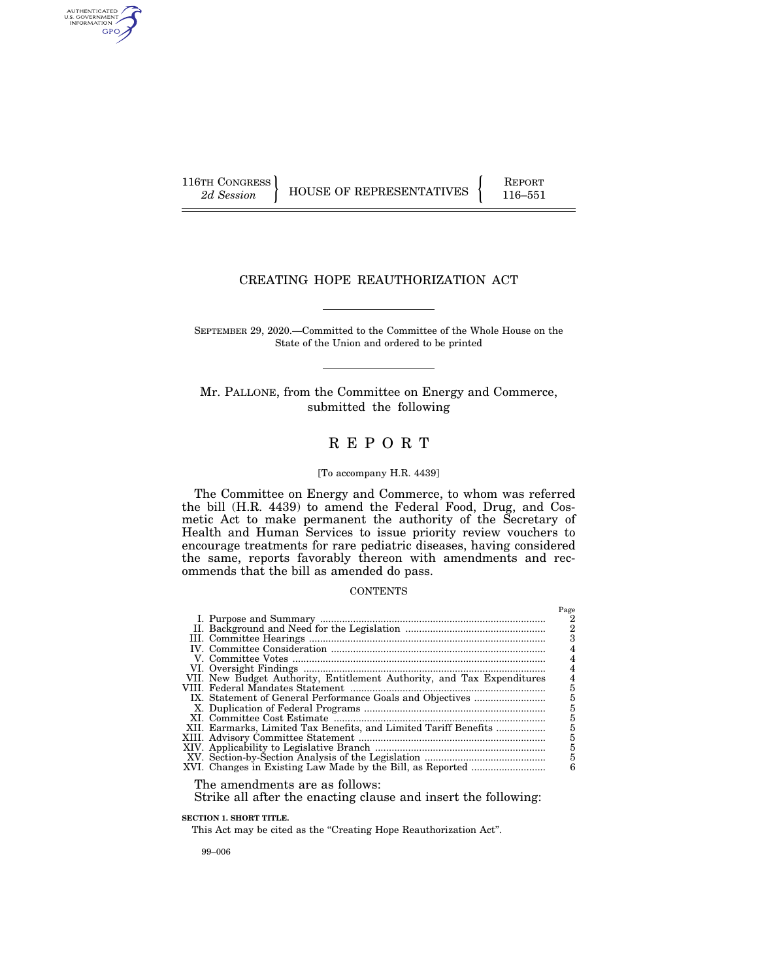AUTHENTICATED<br>U.S. GOVERNMENT<br>INFORMATION GPO

116TH CONGRESS HOUSE OF REPRESENTATIVES FEPORT 116–551

# CREATING HOPE REAUTHORIZATION ACT

SEPTEMBER 29, 2020.—Committed to the Committee of the Whole House on the State of the Union and ordered to be printed

Mr. PALLONE, from the Committee on Energy and Commerce, submitted the following

# R E P O R T

#### [To accompany H.R. 4439]

The Committee on Energy and Commerce, to whom was referred the bill (H.R. 4439) to amend the Federal Food, Drug, and Cosmetic Act to make permanent the authority of the Secretary of Health and Human Services to issue priority review vouchers to encourage treatments for rare pediatric diseases, having considered the same, reports favorably thereon with amendments and recommends that the bill as amended do pass.

#### **CONTENTS**

|                                                                        | Page           |
|------------------------------------------------------------------------|----------------|
|                                                                        |                |
|                                                                        | $\overline{2}$ |
|                                                                        |                |
|                                                                        |                |
|                                                                        |                |
|                                                                        |                |
| VII. New Budget Authority, Entitlement Authority, and Tax Expenditures |                |
|                                                                        | 5              |
|                                                                        | 5              |
|                                                                        | 5              |
|                                                                        | 5              |
|                                                                        | 5              |
|                                                                        | 5              |
|                                                                        | 5              |
|                                                                        | 5              |
|                                                                        | 6              |
|                                                                        |                |

The amendments are as follows:

Strike all after the enacting clause and insert the following:

**SECTION 1. SHORT TITLE.** 

This Act may be cited as the "Creating Hope Reauthorization Act".

99–006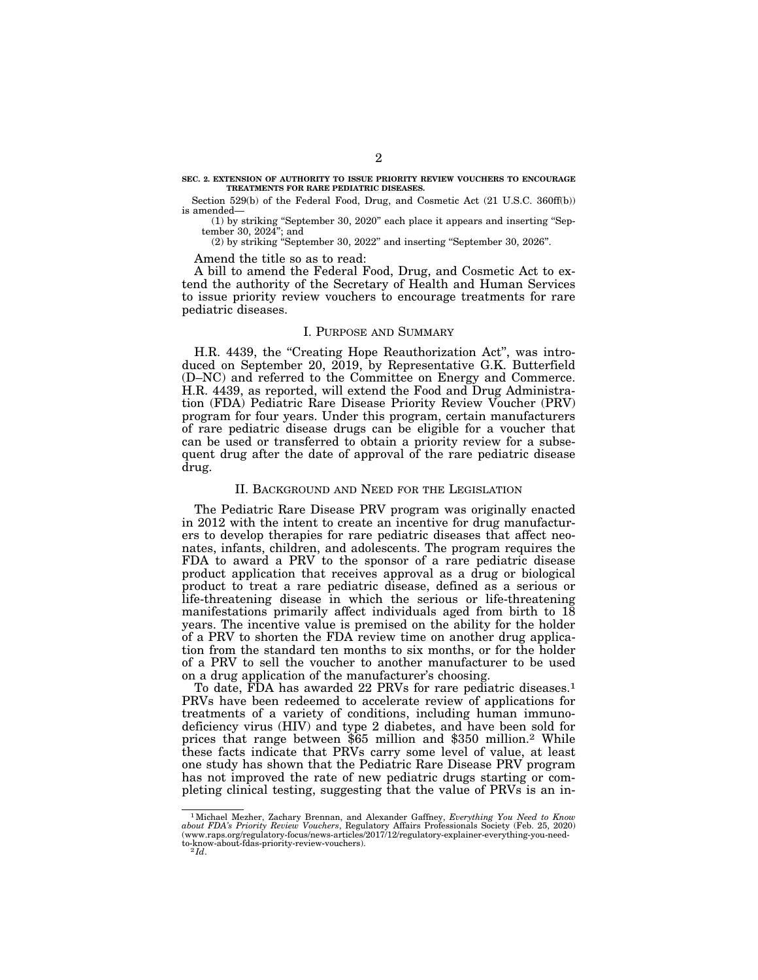#### **SEC. 2. EXTENSION OF AUTHORITY TO ISSUE PRIORITY REVIEW VOUCHERS TO ENCOURAGE TREATMENTS FOR RARE PEDIATRIC DISEASES.**

Section 529(b) of the Federal Food, Drug, and Cosmetic Act (21 U.S.C. 360ff(b)) is amended—

(1) by striking ''September 30, 2020'' each place it appears and inserting ''September 30, 2024''; and

(2) by striking ''September 30, 2022'' and inserting ''September 30, 2026''.

Amend the title so as to read:

A bill to amend the Federal Food, Drug, and Cosmetic Act to extend the authority of the Secretary of Health and Human Services to issue priority review vouchers to encourage treatments for rare pediatric diseases.

#### I. PURPOSE AND SUMMARY

H.R. 4439, the ''Creating Hope Reauthorization Act'', was introduced on September 20, 2019, by Representative G.K. Butterfield (D–NC) and referred to the Committee on Energy and Commerce. H.R. 4439, as reported, will extend the Food and Drug Administration (FDA) Pediatric Rare Disease Priority Review Voucher (PRV) program for four years. Under this program, certain manufacturers of rare pediatric disease drugs can be eligible for a voucher that can be used or transferred to obtain a priority review for a subsequent drug after the date of approval of the rare pediatric disease drug.

#### II. BACKGROUND AND NEED FOR THE LEGISLATION

The Pediatric Rare Disease PRV program was originally enacted in 2012 with the intent to create an incentive for drug manufacturers to develop therapies for rare pediatric diseases that affect neonates, infants, children, and adolescents. The program requires the FDA to award a PRV to the sponsor of a rare pediatric disease product application that receives approval as a drug or biological product to treat a rare pediatric disease, defined as a serious or life-threatening disease in which the serious or life-threatening manifestations primarily affect individuals aged from birth to 18 years. The incentive value is premised on the ability for the holder of a PRV to shorten the FDA review time on another drug application from the standard ten months to six months, or for the holder of a PRV to sell the voucher to another manufacturer to be used on a drug application of the manufacturer's choosing.

To date, FDA has awarded 22 PRVs for rare pediatric diseases.<sup>1</sup> PRVs have been redeemed to accelerate review of applications for treatments of a variety of conditions, including human immunodeficiency virus (HIV) and type 2 diabetes, and have been sold for prices that range between \$65 million and \$350 million.2 While these facts indicate that PRVs carry some level of value, at least one study has shown that the Pediatric Rare Disease PRV program has not improved the rate of new pediatric drugs starting or completing clinical testing, suggesting that the value of PRVs is an in-

 $^1$ Michael Mezher, Zachary Brennan, and Alexander Gaffney, Everything You Need to Know about FDA's Priority Review Vouchers, Regulatory Affairs Professionals Society (Feb. 25, 2020) (www.raps.org/regulatory-focus/news-ar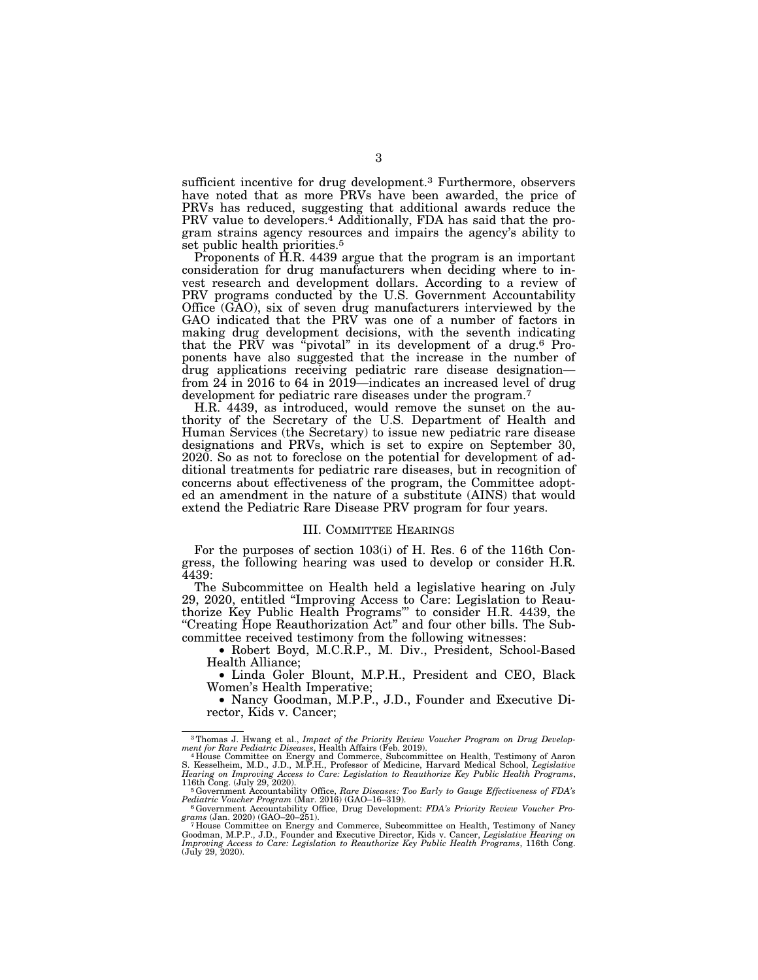sufficient incentive for drug development.<sup>3</sup> Furthermore, observers have noted that as more PRVs have been awarded, the price of PRVs has reduced, suggesting that additional awards reduce the PRV value to developers.4 Additionally, FDA has said that the program strains agency resources and impairs the agency's ability to set public health priorities.<sup>5</sup>

Proponents of H.R. 4439 argue that the program is an important consideration for drug manufacturers when deciding where to invest research and development dollars. According to a review of PRV programs conducted by the U.S. Government Accountability Office (GAO), six of seven drug manufacturers interviewed by the GAO indicated that the PRV was one of a number of factors in making drug development decisions, with the seventh indicating that the PRV was "pivotal" in its development of a drug.<sup>6</sup> Proponents have also suggested that the increase in the number of drug applications receiving pediatric rare disease designation from 24 in 2016 to 64 in 2019—indicates an increased level of drug development for pediatric rare diseases under the program.<sup>7</sup>

H.R. 4439, as introduced, would remove the sunset on the authority of the Secretary of the U.S. Department of Health and Human Services (the Secretary) to issue new pediatric rare disease designations and PRVs, which is set to expire on September 30, 2020. So as not to foreclose on the potential for development of additional treatments for pediatric rare diseases, but in recognition of concerns about effectiveness of the program, the Committee adopted an amendment in the nature of a substitute (AINS) that would extend the Pediatric Rare Disease PRV program for four years.

### III. COMMITTEE HEARINGS

For the purposes of section 103(i) of H. Res. 6 of the 116th Congress, the following hearing was used to develop or consider H.R. 4439:

The Subcommittee on Health held a legislative hearing on July 29, 2020, entitled ''Improving Access to Care: Legislation to Reauthorize Key Public Health Programs''' to consider H.R. 4439, the "Creating Hope Reauthorization Act" and four other bills. The Subcommittee received testimony from the following witnesses:

• Robert Boyd, M.C.R.P., M. Div., President, School-Based Health Alliance;

• Linda Goler Blount, M.P.H., President and CEO, Black Women's Health Imperative;

• Nancy Goodman, M.P.P., J.D., Founder and Executive Director, Kids v. Cancer;

<sup>&</sup>lt;sup>3</sup>Thomas J. Hwang et al., *Impact of the Priority Review Voucher Program on Drug Development for Rare Pediatric Diseases*, Health Affairs (Feb. 2019).

ment for Rare Pediatric Diseases, Health Affairs (Feb. 2019).<br>"House Committee on Energy and Commerce, Subcommittee on Health, Testimony of Aaron<br>S. Kesselheim, M.D., J.D., M.P.H., Professor of Medicine, Harvard Medical Sc

<sup>116</sup>th Cong. (July 29, 2020).<br>
<sup>5</sup> Government Accountability Office, Rare Diseases: Too Early to Gauge Effectiveness of FDA's<br>
Pediatric Voucher Program (Mar. 2016) (GAO–16–319). *Pediatric Voucher Program* (Mar. 2016) (GAO–16–319). 6Government Accountability Office, Drug Development: *FDA's Priority Review Voucher Pro-*

*grams* (Jan. 2020) (GAO–20–251). 7 House Committee on Energy and Commerce, Subcommittee on Health, Testimony of Nancy

Goodman, M.P.P., J.D., Founder and Executive Director, Kids v. Cancer, *Legislative Hearing on Improving Access to Care: Legislation to Reauthorize Key Public Health Programs*, 116th Cong. (July 29, 2020).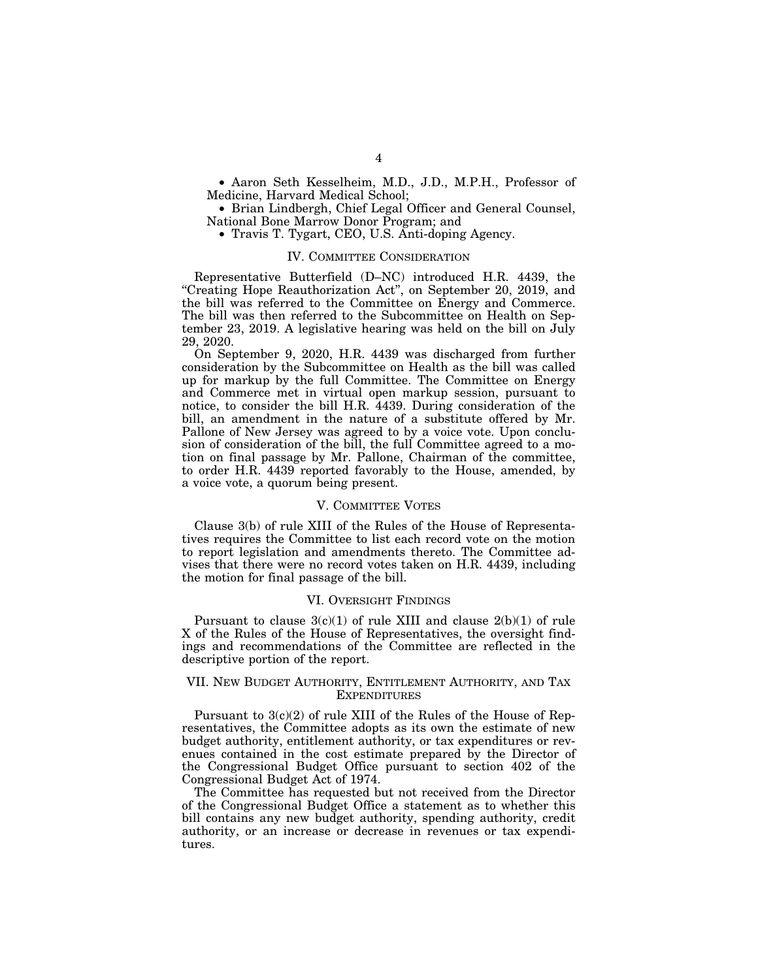• Aaron Seth Kesselheim, M.D., J.D., M.P.H., Professor of Medicine, Harvard Medical School;

• Brian Lindbergh, Chief Legal Officer and General Counsel, National Bone Marrow Donor Program; and

• Travis T. Tygart, CEO, U.S. Anti-doping Agency.

#### IV. COMMITTEE CONSIDERATION

Representative Butterfield (D–NC) introduced H.R. 4439, the ''Creating Hope Reauthorization Act'', on September 20, 2019, and the bill was referred to the Committee on Energy and Commerce. The bill was then referred to the Subcommittee on Health on September 23, 2019. A legislative hearing was held on the bill on July 29, 2020.

On September 9, 2020, H.R. 4439 was discharged from further consideration by the Subcommittee on Health as the bill was called up for markup by the full Committee. The Committee on Energy and Commerce met in virtual open markup session, pursuant to notice, to consider the bill H.R. 4439. During consideration of the bill, an amendment in the nature of a substitute offered by Mr. Pallone of New Jersey was agreed to by a voice vote. Upon conclusion of consideration of the bill, the full Committee agreed to a motion on final passage by Mr. Pallone, Chairman of the committee, to order H.R. 4439 reported favorably to the House, amended, by a voice vote, a quorum being present.

#### V. COMMITTEE VOTES

Clause 3(b) of rule XIII of the Rules of the House of Representatives requires the Committee to list each record vote on the motion to report legislation and amendments thereto. The Committee advises that there were no record votes taken on H.R. 4439, including the motion for final passage of the bill.

#### VI. OVERSIGHT FINDINGS

Pursuant to clause  $3(c)(1)$  of rule XIII and clause  $2(b)(1)$  of rule X of the Rules of the House of Representatives, the oversight findings and recommendations of the Committee are reflected in the descriptive portion of the report.

## VII. NEW BUDGET AUTHORITY, ENTITLEMENT AUTHORITY, AND TAX EXPENDITURES

Pursuant to 3(c)(2) of rule XIII of the Rules of the House of Representatives, the Committee adopts as its own the estimate of new budget authority, entitlement authority, or tax expenditures or revenues contained in the cost estimate prepared by the Director of the Congressional Budget Office pursuant to section 402 of the Congressional Budget Act of 1974.

The Committee has requested but not received from the Director of the Congressional Budget Office a statement as to whether this bill contains any new budget authority, spending authority, credit authority, or an increase or decrease in revenues or tax expenditures.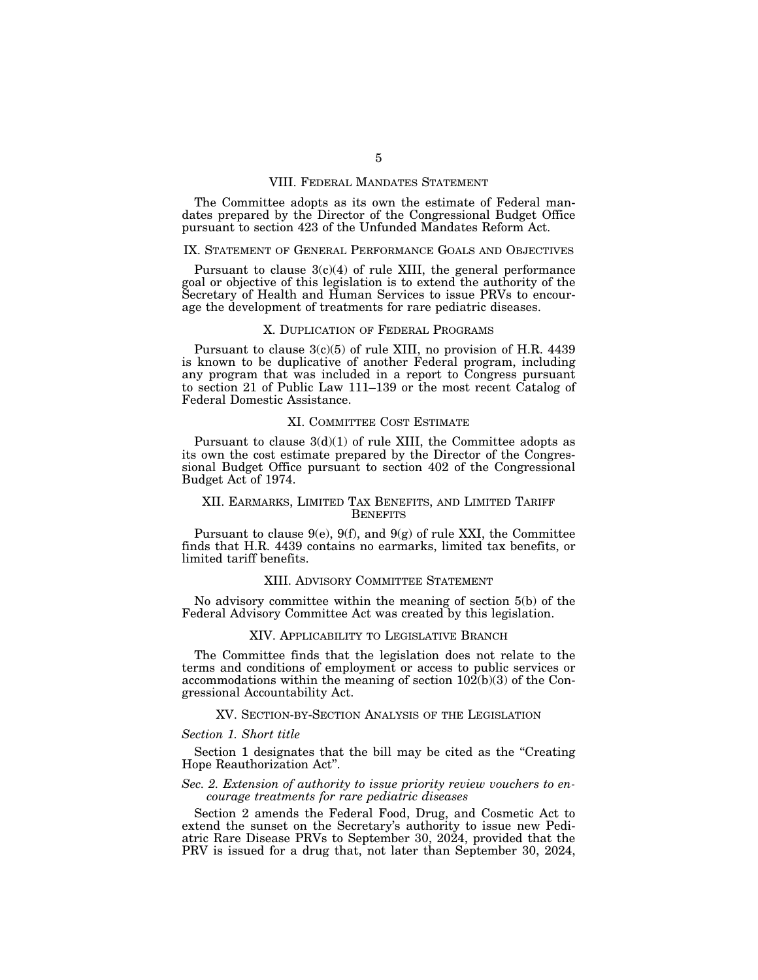#### VIII. FEDERAL MANDATES STATEMENT

The Committee adopts as its own the estimate of Federal mandates prepared by the Director of the Congressional Budget Office pursuant to section 423 of the Unfunded Mandates Reform Act.

## IX. STATEMENT OF GENERAL PERFORMANCE GOALS AND OBJECTIVES

Pursuant to clause  $3(c)(4)$  of rule XIII, the general performance goal or objective of this legislation is to extend the authority of the Secretary of Health and Human Services to issue PRVs to encourage the development of treatments for rare pediatric diseases.

## X. DUPLICATION OF FEDERAL PROGRAMS

Pursuant to clause  $3(c)(5)$  of rule XIII, no provision of H.R. 4439 is known to be duplicative of another Federal program, including any program that was included in a report to Congress pursuant to section 21 of Public Law 111–139 or the most recent Catalog of Federal Domestic Assistance.

#### XI. COMMITTEE COST ESTIMATE

Pursuant to clause  $3(d)(1)$  of rule XIII, the Committee adopts as its own the cost estimate prepared by the Director of the Congressional Budget Office pursuant to section 402 of the Congressional Budget Act of 1974.

## XII. EARMARKS, LIMITED TAX BENEFITS, AND LIMITED TARIFF **BENEFITS**

Pursuant to clause  $9(e)$ ,  $9(f)$ , and  $9(g)$  of rule XXI, the Committee finds that H.R. 4439 contains no earmarks, limited tax benefits, or limited tariff benefits.

## XIII. ADVISORY COMMITTEE STATEMENT

No advisory committee within the meaning of section 5(b) of the Federal Advisory Committee Act was created by this legislation.

#### XIV. APPLICABILITY TO LEGISLATIVE BRANCH

The Committee finds that the legislation does not relate to the terms and conditions of employment or access to public services or accommodations within the meaning of section  $10\overline{2}(b)(3)$  of the Congressional Accountability Act.

### XV. SECTION-BY-SECTION ANALYSIS OF THE LEGISLATION

#### *Section 1. Short title*

Section 1 designates that the bill may be cited as the "Creating" Hope Reauthorization Act''.

## *Sec. 2. Extension of authority to issue priority review vouchers to encourage treatments for rare pediatric diseases*

Section 2 amends the Federal Food, Drug, and Cosmetic Act to extend the sunset on the Secretary's authority to issue new Pediatric Rare Disease PRVs to September 30, 2024, provided that the PRV is issued for a drug that, not later than September 30, 2024,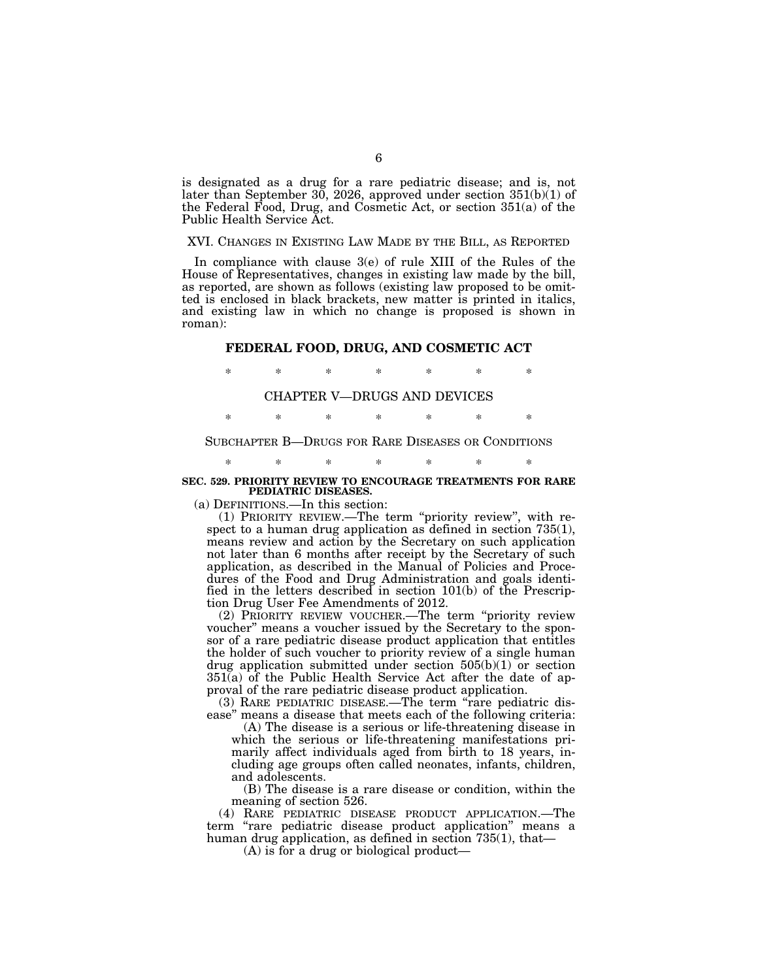is designated as a drug for a rare pediatric disease; and is, not later than September 30, 2026, approved under section 351(b)(1) of the Federal Food, Drug, and Cosmetic Act, or section 351(a) of the Public Health Service Act.

## XVI. CHANGES IN EXISTING LAW MADE BY THE BILL, AS REPORTED

In compliance with clause 3(e) of rule XIII of the Rules of the House of Representatives, changes in existing law made by the bill, as reported, are shown as follows (existing law proposed to be omitted is enclosed in black brackets, new matter is printed in italics, and existing law in which no change is proposed is shown in roman):

## **FEDERAL FOOD, DRUG, AND COSMETIC ACT**

\* \* \* \* \* \* \*

## CHAPTER V—DRUGS AND DEVICES

\* \* \* \* \* \* \*

## SUBCHAPTER B—DRUGS FOR RARE DISEASES OR CONDITIONS

\* \* \* \* \* \* \*

#### **SEC. 529. PRIORITY REVIEW TO ENCOURAGE TREATMENTS FOR RARE PEDIATRIC DISEASES.**

(a) DEFINITIONS.—In this section:

(1) PRIORITY REVIEW.—The term ''priority review'', with respect to a human drug application as defined in section 735(1), means review and action by the Secretary on such application not later than 6 months after receipt by the Secretary of such application, as described in the Manual of Policies and Procedures of the Food and Drug Administration and goals identified in the letters described in section 101(b) of the Prescription Drug User Fee Amendments of 2012.

(2) PRIORITY REVIEW VOUCHER.—The term ''priority review voucher'' means a voucher issued by the Secretary to the sponsor of a rare pediatric disease product application that entitles the holder of such voucher to priority review of a single human drug application submitted under section  $505(b)(1)$  or section 351(a) of the Public Health Service Act after the date of approval of the rare pediatric disease product application.

(3) RARE PEDIATRIC DISEASE.—The term ''rare pediatric disease'' means a disease that meets each of the following criteria:

(A) The disease is a serious or life-threatening disease in which the serious or life-threatening manifestations primarily affect individuals aged from birth to 18 years, including age groups often called neonates, infants, children, and adolescents.

(B) The disease is a rare disease or condition, within the meaning of section 526.

(4) RARE PEDIATRIC DISEASE PRODUCT APPLICATION.—The term ''rare pediatric disease product application'' means a human drug application, as defined in section 735(1), that—

(A) is for a drug or biological product—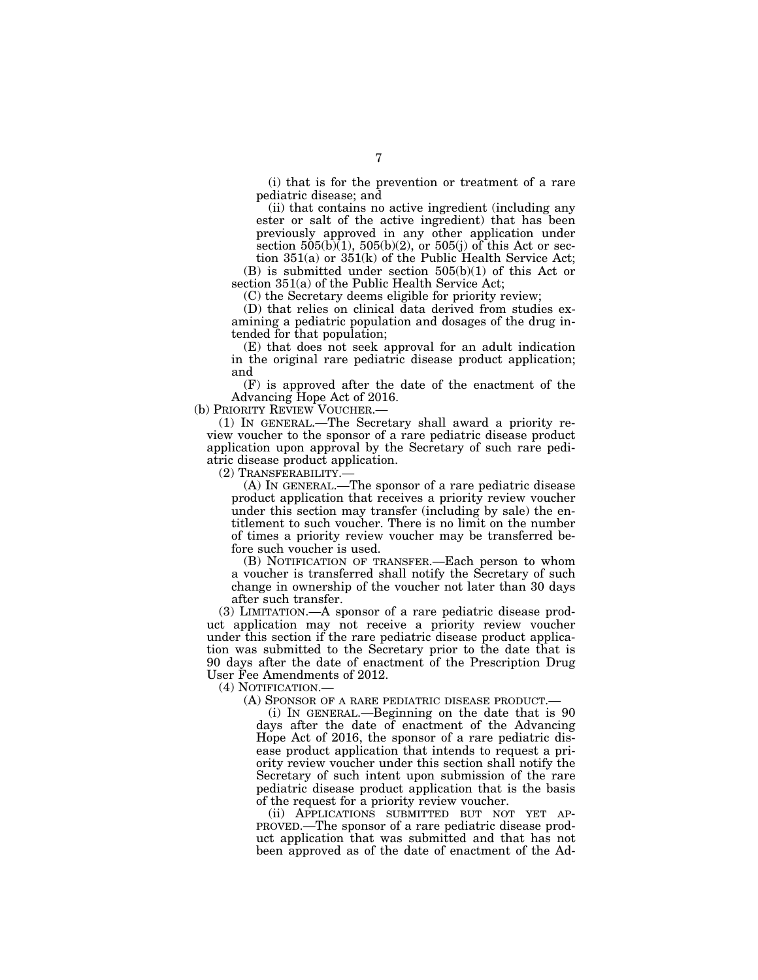(i) that is for the prevention or treatment of a rare pediatric disease; and

(ii) that contains no active ingredient (including any ester or salt of the active ingredient) that has been previously approved in any other application under section  $505(b)(1)$ ,  $505(b)(2)$ , or  $505(j)$  of this Act or sec-

tion 351(a) or 351(k) of the Public Health Service Act; (B) is submitted under section 505(b)(1) of this Act or section 351(a) of the Public Health Service Act;

(C) the Secretary deems eligible for priority review;

(D) that relies on clinical data derived from studies examining a pediatric population and dosages of the drug intended for that population;

(E) that does not seek approval for an adult indication in the original rare pediatric disease product application; and

(F) is approved after the date of the enactment of the Advancing Hope Act of 2016.

(b) PRIORITY REVIEW VOUCHER.—

(1) IN GENERAL.—The Secretary shall award a priority review voucher to the sponsor of a rare pediatric disease product application upon approval by the Secretary of such rare pediatric disease product application.

(2) TRANSFERABILITY.—

(A) IN GENERAL.—The sponsor of a rare pediatric disease product application that receives a priority review voucher under this section may transfer (including by sale) the entitlement to such voucher. There is no limit on the number of times a priority review voucher may be transferred before such voucher is used.

(B) NOTIFICATION OF TRANSFER.—Each person to whom a voucher is transferred shall notify the Secretary of such change in ownership of the voucher not later than 30 days after such transfer.

(3) LIMITATION.—A sponsor of a rare pediatric disease product application may not receive a priority review voucher under this section if the rare pediatric disease product application was submitted to the Secretary prior to the date that is 90 days after the date of enactment of the Prescription Drug User Fee Amendments of 2012.

(4) NOTIFICATION.—

(A) SPONSOR OF A RARE PEDIATRIC DISEASE PRODUCT.—

(i) IN GENERAL.—Beginning on the date that is 90 days after the date of enactment of the Advancing Hope Act of 2016, the sponsor of a rare pediatric disease product application that intends to request a priority review voucher under this section shall notify the Secretary of such intent upon submission of the rare pediatric disease product application that is the basis of the request for a priority review voucher.

(ii) APPLICATIONS SUBMITTED BUT NOT YET AP-PROVED.—The sponsor of a rare pediatric disease product application that was submitted and that has not been approved as of the date of enactment of the Ad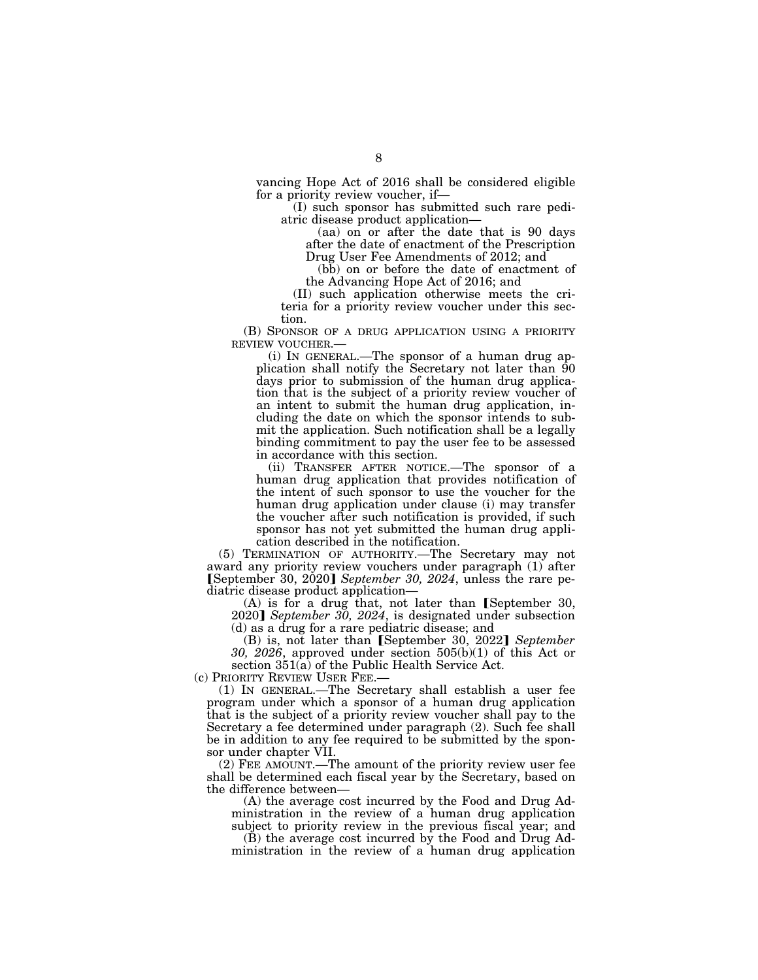vancing Hope Act of 2016 shall be considered eligible for a priority review voucher, if—

(I) such sponsor has submitted such rare pediatric disease product application—

(aa) on or after the date that is 90 days after the date of enactment of the Prescription Drug User Fee Amendments of 2012; and

(bb) on or before the date of enactment of the Advancing Hope Act of 2016; and

(II) such application otherwise meets the criteria for a priority review voucher under this section.

(B) SPONSOR OF A DRUG APPLICATION USING A PRIORITY REVIEW VOUCHER.—

(i) IN GENERAL.—The sponsor of a human drug application shall notify the Secretary not later than 90 days prior to submission of the human drug application that is the subject of a priority review voucher of an intent to submit the human drug application, including the date on which the sponsor intends to submit the application. Such notification shall be a legally binding commitment to pay the user fee to be assessed in accordance with this section.

(ii) TRANSFER AFTER NOTICE.—The sponsor of a human drug application that provides notification of the intent of such sponsor to use the voucher for the human drug application under clause (i) may transfer the voucher after such notification is provided, if such sponsor has not yet submitted the human drug application described in the notification.

(5) TERMINATION OF AUTHORITY.—The Secretary may not award any priority review vouchers under paragraph (1) after øSeptember 30, 2020¿ *September 30, 2024*, unless the rare pediatric disease product application—

 $(A)$  is for a drug that, not later than [September 30, 2020] September  $30, 2024$ , is designated under subsection (d) as a drug for a rare pediatric disease; and

(B) is, not later than [September 30, 2022] September *30, 2026*, approved under section 505(b)(1) of this Act or section  $351(a)$  of the Public Health Service Act.

(c) PRIORITY REVIEW USER FEE.—

(1) IN GENERAL.—The Secretary shall establish a user fee program under which a sponsor of a human drug application that is the subject of a priority review voucher shall pay to the Secretary a fee determined under paragraph (2). Such fee shall be in addition to any fee required to be submitted by the sponsor under chapter VII.

(2) FEE AMOUNT.—The amount of the priority review user fee shall be determined each fiscal year by the Secretary, based on the difference between—

(A) the average cost incurred by the Food and Drug Administration in the review of a human drug application subject to priority review in the previous fiscal year; and

(B) the average cost incurred by the Food and Drug Administration in the review of a human drug application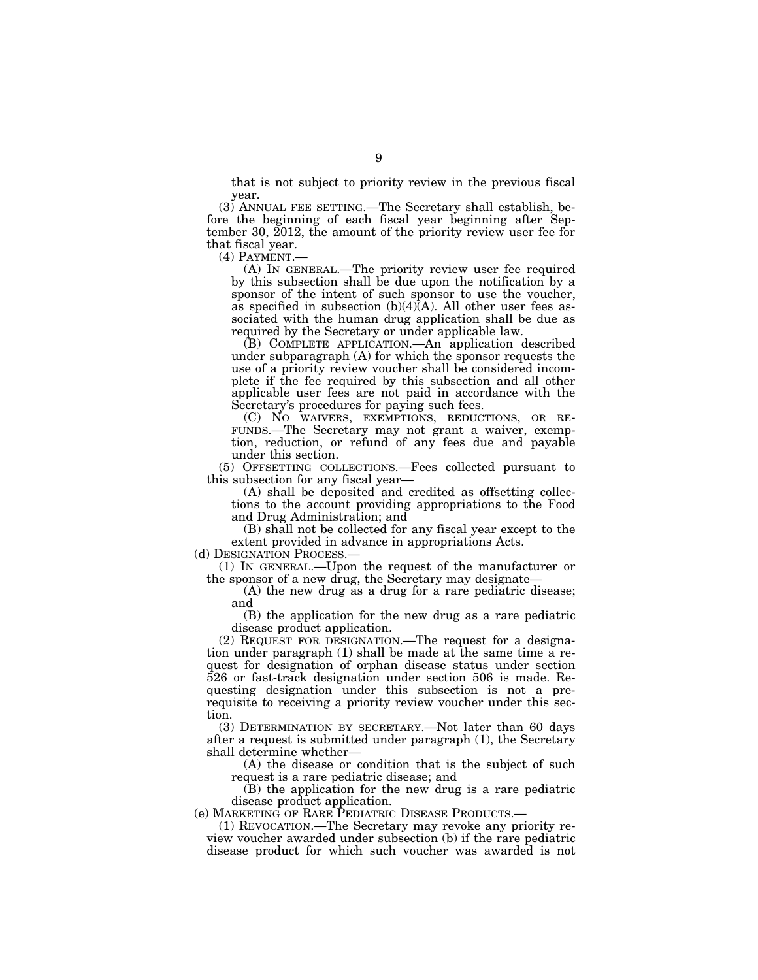that is not subject to priority review in the previous fiscal year.

(3) ANNUAL FEE SETTING.—The Secretary shall establish, before the beginning of each fiscal year beginning after September 30, 2012, the amount of the priority review user fee for that fiscal year.

(4) PAYMENT.— (A) IN GENERAL.—The priority review user fee required by this subsection shall be due upon the notification by a sponsor of the intent of such sponsor to use the voucher, as specified in subsection  $(b)(4)\bar{A}$ . All other user fees associated with the human drug application shall be due as required by the Secretary or under applicable law.

(B) COMPLETE APPLICATION.—An application described under subparagraph (A) for which the sponsor requests the use of a priority review voucher shall be considered incomplete if the fee required by this subsection and all other applicable user fees are not paid in accordance with the Secretary's procedures for paying such fees.

(C) NO WAIVERS, EXEMPTIONS, REDUCTIONS, OR RE- FUNDS.—The Secretary may not grant a waiver, exemption, reduction, or refund of any fees due and payable under this section.

(5) OFFSETTING COLLECTIONS.—Fees collected pursuant to this subsection for any fiscal year—

(A) shall be deposited and credited as offsetting collections to the account providing appropriations to the Food and Drug Administration; and

(B) shall not be collected for any fiscal year except to the extent provided in advance in appropriations Acts.

(d) DESIGNATION PROCESS.— (1) IN GENERAL.—Upon the request of the manufacturer or the sponsor of a new drug, the Secretary may designate—

(A) the new drug as a drug for a rare pediatric disease; and

(B) the application for the new drug as a rare pediatric disease product application.

(2) REQUEST FOR DESIGNATION.—The request for a designation under paragraph (1) shall be made at the same time a request for designation of orphan disease status under section 526 or fast-track designation under section 506 is made. Requesting designation under this subsection is not a prerequisite to receiving a priority review voucher under this section.

(3) DETERMINATION BY SECRETARY.—Not later than 60 days after a request is submitted under paragraph (1), the Secretary shall determine whether—

(A) the disease or condition that is the subject of such request is a rare pediatric disease; and

(B) the application for the new drug is a rare pediatric disease product application.<br>(e) MARKETING OF RARE PEDIATRIC DISEASE PRODUCTS.—

 $(1)$  REVOCATION.—The Secretary may revoke any priority review voucher awarded under subsection (b) if the rare pediatric disease product for which such voucher was awarded is not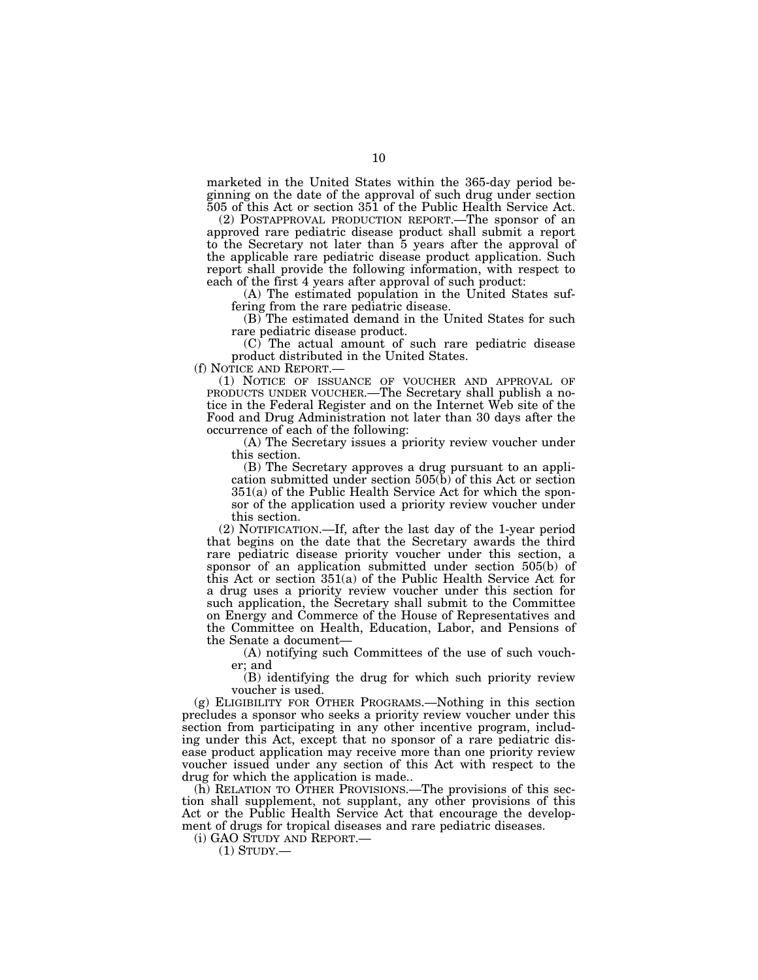marketed in the United States within the 365-day period beginning on the date of the approval of such drug under section 505 of this Act or section 351 of the Public Health Service Act.

(2) POSTAPPROVAL PRODUCTION REPORT.—The sponsor of an approved rare pediatric disease product shall submit a report to the Secretary not later than 5 years after the approval of the applicable rare pediatric disease product application. Such report shall provide the following information, with respect to each of the first 4 years after approval of such product:

(A) The estimated population in the United States suffering from the rare pediatric disease.

(B) The estimated demand in the United States for such rare pediatric disease product.

(C) The actual amount of such rare pediatric disease product distributed in the United States.

(f) NOTICE AND REPORT.—

(1) NOTICE OF ISSUANCE OF VOUCHER AND APPROVAL OF PRODUCTS UNDER VOUCHER.—The Secretary shall publish a notice in the Federal Register and on the Internet Web site of the Food and Drug Administration not later than 30 days after the occurrence of each of the following:

(A) The Secretary issues a priority review voucher under this section.

(B) The Secretary approves a drug pursuant to an application submitted under section 505(b) of this Act or section 351(a) of the Public Health Service Act for which the sponsor of the application used a priority review voucher under this section.

(2) NOTIFICATION.—If, after the last day of the 1-year period that begins on the date that the Secretary awards the third rare pediatric disease priority voucher under this section, a sponsor of an application submitted under section 505(b) of this Act or section 351(a) of the Public Health Service Act for a drug uses a priority review voucher under this section for such application, the Secretary shall submit to the Committee on Energy and Commerce of the House of Representatives and the Committee on Health, Education, Labor, and Pensions of the Senate a document—

(A) notifying such Committees of the use of such voucher; and

(B) identifying the drug for which such priority review voucher is used.

(g) ELIGIBILITY FOR OTHER PROGRAMS.—Nothing in this section precludes a sponsor who seeks a priority review voucher under this section from participating in any other incentive program, including under this Act, except that no sponsor of a rare pediatric disease product application may receive more than one priority review voucher issued under any section of this Act with respect to the drug for which the application is made..

(h) RELATION TO OTHER PROVISIONS.—The provisions of this section shall supplement, not supplant, any other provisions of this Act or the Public Health Service Act that encourage the development of drugs for tropical diseases and rare pediatric diseases.

(i) GAO STUDY AND REPORT.—

(1) STUDY.—